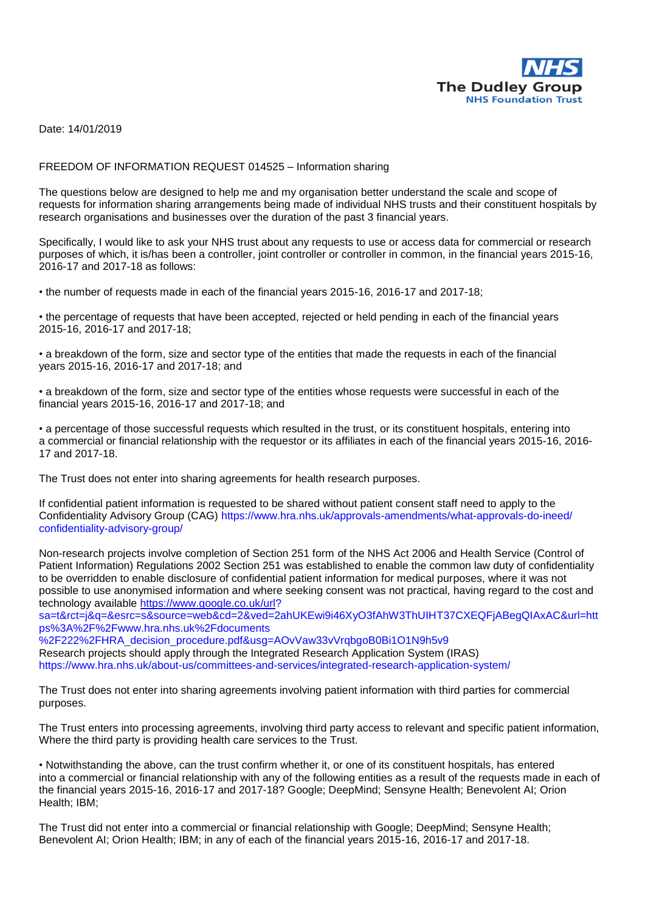

Date: 14/01/2019

## FREEDOM OF INFORMATION REQUEST 014525 – Information sharing

The questions below are designed to help me and my organisation better understand the scale and scope of requests for information sharing arrangements being made of individual NHS trusts and their constituent hospitals by research organisations and businesses over the duration of the past 3 financial years.

Specifically, I would like to ask your NHS trust about any requests to use or access data for commercial or research purposes of which, it is/has been a controller, joint controller or controller in common, in the financial years 2015-16, 2016-17 and 2017-18 as follows:

• the number of requests made in each of the financial years 2015-16, 2016-17 and 2017-18;

• the percentage of requests that have been accepted, rejected or held pending in each of the financial years 2015-16, 2016-17 and 2017-18;

• a breakdown of the form, size and sector type of the entities that made the requests in each of the financial years 2015-16, 2016-17 and 2017-18; and

• a breakdown of the form, size and sector type of the entities whose requests were successful in each of the financial years 2015-16, 2016-17 and 2017-18; and

• a percentage of those successful requests which resulted in the trust, or its constituent hospitals, entering into a commercial or financial relationship with the requestor or its affiliates in each of the financial years 2015-16, 2016- 17 and 2017-18.

The Trust does not enter into sharing agreements for health research purposes.

If confidential patient information is requested to be shared without patient consent staff need to apply to the Confidentiality Advisory Group (CAG) https://www.hra.nhs.uk/approvals-amendments/what-approvals-do-ineed/ confidentiality-advisory-group/

Non-research projects involve completion of Section 251 form of the NHS Act 2006 and Health Service (Control of Patient Information) Regulations 2002 Section 251 was established to enable the common law duty of confidentiality to be overridden to enable disclosure of confidential patient information for medical purposes, where it was not possible to use anonymised information and where seeking consent was not practical, having regard to the cost and technology available [https://www.google.co.uk/url?](https://www.google.co.uk/url)

sa=t&rct=j&q=&esrc=s&source=web&cd=2&ved=2ahUKEwi9i46XyO3fAhW3ThUIHT37CXEQFjABegQIAxAC&url=htt ps%3A%2F%2Fwww.hra.nhs.uk%2Fdocuments

%2F222%2FHRA\_decision\_procedure.pdf&usg=AOvVaw33vVrqbgoB0Bi1O1N9h5v9 Research projects should apply through the Integrated Research Application System (IRAS) https://www.hra.nhs.uk/about-us/committees-and-services/integrated-research-application-system/

The Trust does not enter into sharing agreements involving patient information with third parties for commercial purposes.

The Trust enters into processing agreements, involving third party access to relevant and specific patient information, Where the third party is providing health care services to the Trust.

• Notwithstanding the above, can the trust confirm whether it, or one of its constituent hospitals, has entered into a commercial or financial relationship with any of the following entities as a result of the requests made in each of the financial years 2015-16, 2016-17 and 2017-18? Google; DeepMind; Sensyne Health; Benevolent AI; Orion Health; IBM;

The Trust did not enter into a commercial or financial relationship with Google; DeepMind; Sensyne Health; Benevolent AI; Orion Health; IBM; in any of each of the financial years 2015-16, 2016-17 and 2017-18.